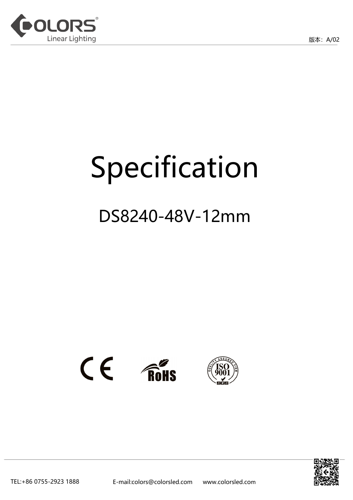



# Specification

# DS8240-48V-12mm





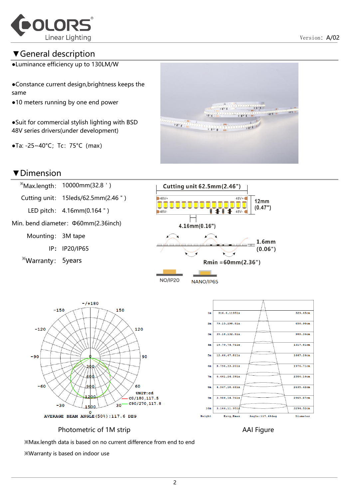

#### ▼General description

●Luminance efficiency up to 130LM/W

●Constance current design,brightness keeps the same

●10 meters running by one end power

●Suit for commercial stylish lighting with BSD 48V series drivers(under development)

 $\bullet$ Ta: -25~40°C; Tc: 75°C (max)



 $35.18, 132.81x$ 

19.79.74.711x

 $12.66, 47.811x$ 

8.794,33.201x

 $6.461, 24.391x$ 

4.947,18.681x

3.908,14.761x

 $3.166, 11.951$ 

Eavg, Emax

 $3m$ 

 $\Delta$ m

 $5m$ 

 $6\pi$ 

 $7<sub>u</sub>$ 

 $8<sub>m</sub>$ 

 $9<sub>π</sub>$ 

 $10m$ 

Height

#### ▼Dimension





Angle:117.48deg

988.36cm

1317 81cm

1647.26cm

1976.71cm

2306.16cm

2635.62cm

2965.07cm

3294.52cm

Diameter

Photometric of 1M strip **AAI Figure** AAI Figure

※Max.length data is based on no current difference from end to end

※Warranty is based on indoor use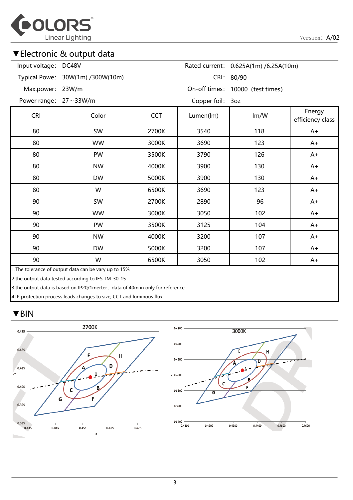

#### ▼Electronic & output data

| Input voltage:        | DC48V                                                                                                       |            |                  | Rated current: 0.625A(1m) /6.25A(10m) |                            |
|-----------------------|-------------------------------------------------------------------------------------------------------------|------------|------------------|---------------------------------------|----------------------------|
|                       | Typical Powe: 30W(1m) /300W(10m)                                                                            |            |                  | CRI: 80/90                            |                            |
| Max.power:            | 23W/m                                                                                                       |            |                  | On-off times: 10000 (test times)      |                            |
| Power range: 27~33W/m |                                                                                                             |            | Copper foil: 3oz |                                       |                            |
| <b>CRI</b>            | Color                                                                                                       | <b>CCT</b> | Lumen(lm)        | Im/W                                  | Energy<br>efficiency class |
| 80                    | SW                                                                                                          | 2700K      | 3540             | 118                                   | $A+$                       |
| 80                    | <b>WW</b>                                                                                                   | 3000K      | 3690             | 123                                   | $A+$                       |
| 80                    | PW                                                                                                          | 3500K      | 3790             | 126                                   | $A+$                       |
| 80                    | <b>NW</b>                                                                                                   | 4000K      | 3900             | 130                                   | $A+$                       |
| 80                    | <b>DW</b>                                                                                                   | 5000K      | 3900             | 130                                   | $A+$                       |
| 80                    | W                                                                                                           | 6500K      | 3690             | 123                                   | $A+$                       |
| 90                    | SW                                                                                                          | 2700K      | 2890             | 96                                    | $A+$                       |
| 90                    | <b>WW</b>                                                                                                   | 3000K      | 3050             | 102                                   | $A+$                       |
| 90                    | PW                                                                                                          | 3500K      | 3125             | 104                                   | $A+$                       |
| 90                    | <b>NW</b>                                                                                                   | 4000K      | 3200             | 107                                   | $A+$                       |
| 90                    | <b>DW</b>                                                                                                   | 5000K      | 3200             | 107                                   | $A+$                       |
| 90                    | W                                                                                                           | 6500K      | 3050             | 102                                   | $A+$                       |
|                       | 1. The tolerance of output data can be vary up to 15%<br>2.the output data tested according to IES TM-30-15 |            |                  |                                       |                            |

3.the output data is based on IP20/1merter, data of 40m in only for reference

4.IP protection process leads changes to size, CCT and luminous flux

#### ▼BIN

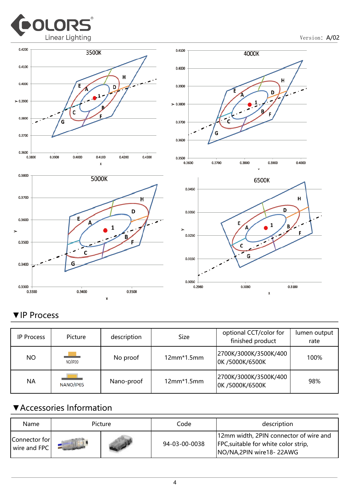

Version: A/02









#### ▼IP Process

| <b>IP Process</b> | Picture   | description | Size         | optional CCT/color for<br>finished product | lumen output<br>rate |
|-------------------|-----------|-------------|--------------|--------------------------------------------|----------------------|
| NO.               | NO/IP20   | No proof    | $12mm*1.5mm$ | 2700K/3000K/3500K/400<br>OK /5000K/6500K   | 100%                 |
| <b>NA</b>         | NANO/IP65 | Nano-proof  | $12mm*1.5mm$ | 2700K/3000K/3500K/400<br>OK /5000K/6500K   | 98%                  |

#### ▼Accessories Information

| Name                          | Picture | Code          | description                                                                                                           |
|-------------------------------|---------|---------------|-----------------------------------------------------------------------------------------------------------------------|
| Connector for<br>wire and FPC |         | 94-03-00-0038 | 12mm width, 2PIN connector of wire and<br><b>FPC</b> , suitable for white color strip,<br>NO/NA, 2PIN wire 18 - 22AWG |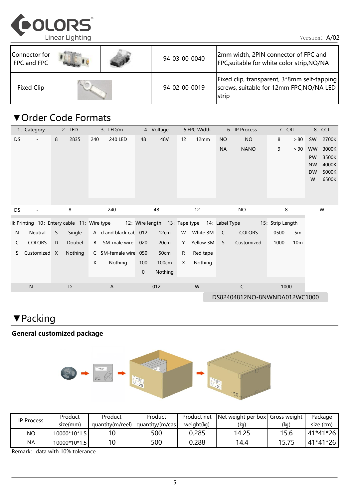

| Connector for<br>FPC and FPC |  | 94-03-00-0040 | 2mm width, 2PIN connector of FPC and<br>FPC, suitable for white color strip, NO/NA               |
|------------------------------|--|---------------|--------------------------------------------------------------------------------------------------|
| Fixed Clip                   |  | 94-02-00-0019 | Fixed clip, transparent, 3*8mm self-tapping<br>screws, suitable for 12mm FPC, NO/NA LED<br>strip |

### ▼Order Code Formats

|                              | 1: Category              |    | 2: LED  |     | $3:$ LED/m                                                                               |             | 4: Voltage |    | 5:FPC Width |           | 6: IP Process | 7: CRI           |                 |                        | 8: CCT         |
|------------------------------|--------------------------|----|---------|-----|------------------------------------------------------------------------------------------|-------------|------------|----|-------------|-----------|---------------|------------------|-----------------|------------------------|----------------|
| DS                           | $\overline{\phantom{a}}$ | 8  | 2835    | 240 | 240 LED                                                                                  | 48          | 48V        | 12 | 12mm        | <b>NO</b> | <b>NO</b>     | 8                | > 80            | SW                     | 2700K          |
|                              |                          |    |         |     |                                                                                          |             |            |    |             | <b>NA</b> | <b>NANO</b>   | 9                | > 90            | <b>WW</b>              | 3000K          |
|                              |                          |    |         |     |                                                                                          |             |            |    |             |           |               |                  |                 | PW                     | 3500K          |
|                              |                          |    |         |     |                                                                                          |             |            |    |             |           |               |                  |                 | <b>NW</b><br><b>DW</b> | 4000K<br>5000K |
|                              |                          |    |         |     |                                                                                          |             |            |    |             |           |               |                  |                 | W                      | 6500K          |
|                              |                          |    |         |     |                                                                                          |             |            |    |             |           |               |                  |                 |                        |                |
|                              |                          |    |         |     |                                                                                          |             |            |    |             |           |               |                  |                 |                        |                |
| DS                           |                          |    | 8       |     | 240                                                                                      |             | 48         |    | 12          |           | <b>NO</b>     | 8                |                 |                        | W              |
|                              |                          |    |         |     | ilk Printing 10: Entery cable 11: Wire type 12: Wire length 13: Tape type 14: Label Type |             |            |    |             |           |               | 15: Strip Length |                 |                        |                |
| N                            | Neutral                  | S. | Single  |     | A d and black cal: 012                                                                   |             | 12cm       | W  | White 3M    | C         | <b>COLORS</b> | 0500             | 5m              |                        |                |
| C                            | <b>COLORS</b>            | D  | Doubel  | B   | SM-male wire                                                                             | 020         | 20cm       | Y  | Yellow 3M   | S.        | Customized    | 1000             | 10 <sub>m</sub> |                        |                |
| S                            | Customized X             |    | Nothing |     | C SM-female wire 050                                                                     |             | 50cm       | R  | Red tape    |           |               |                  |                 |                        |                |
|                              |                          |    |         | X   | Nothing                                                                                  | 100         | 100cm      | X  | Nothing     |           |               |                  |                 |                        |                |
|                              |                          |    |         |     |                                                                                          | $\mathbf 0$ | Nothing    |    |             |           |               |                  |                 |                        |                |
|                              | ${\sf N}$                |    | D       |     | $\mathsf{A}$                                                                             |             | 012        |    | W           |           | $\mathsf C$   | 1000             |                 |                        |                |
| DS82404812NO-8NWNDA012WC1000 |                          |    |         |     |                                                                                          |             |            |    |             |           |               |                  |                 |                        |                |

## ▼Packing

#### General customized package



| <b>IP Process</b> | Product      | Product          | Product         | Product net | Net weight per box Gross weight |       | Package   |
|-------------------|--------------|------------------|-----------------|-------------|---------------------------------|-------|-----------|
|                   | size(mm)     | quantity(m/reel) | quantity/(m/cas | weight(kq)  | (kg,                            | (kg)  | size (cm) |
| <b>NO</b>         | 10000*10*1.5 |                  | 500             | 0.285       | 14.25                           | 15.6  | 41*41*26  |
| <b>NA</b>         | 10000*10*1.5 |                  | 500             | 0.288       | 14.4                            | 15.75 | 41*41*26  |

Remark: data with 10% tolerance